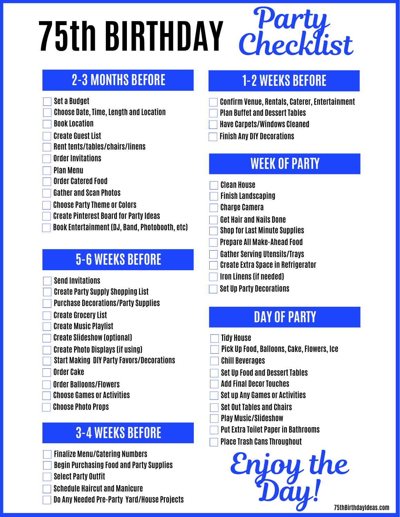# **75th BIRTHDAY**

# **2-3 MONTHS BEFORE**

- **Set a Budget**
- **Choose Date, Time, Length and Location**
- **Book Location**
- **Create Guest List**
- **Rent tents/tables/chairs/linens**
- **Order Invitations**
- **Plan Menu**
- **Order Catered Food**
- **Gather and Scan Photos**
- **Choose Party Theme or Colors**
- **Create Pinterest Board for Party Ideas**
- **Book Entertainment (DJ, Band, Photobooth, etc)**

## **5-6 WEEKS BEFORE**

- **Send Invitations**
- **Create Party Supply Shopping List**
- **Purchase Decorations/Party Supplies**
- **Create Grocery List**
- **Create Music Playlist**
- **Create Slideshow (optional)**
- **Create Photo Displays (if using)**
- **Start Making DIY Party Favors/Decorations**
- **Order Cake**
- **Order Balloons/Flowers**
- **Choose Games or Activities**
- **Choose Photo Props**

## **3-4 WEEKS BEFORE**

- **Finalize Menu/Catering Numbers**
- **Begin Purchasing Food and Party Supplies**
- **Select Party Outfit**
- **Schedule Haircut and Manicure**
- **Do Any Needed Pre-Party Yard/House Projects**

# **1-2 WEEKS BEFORE**

Party.

Checklist

- **Confirm Venue, Rentals, Caterer, Entertainment**
- **Plan Buffet and Dessert Tables**
- **Have Carpets/Windows Cleaned**
- **Finish Any DIY Decorations**

# **WEEK OF PARTY**

- **Clean House**
- **Finish Landscaping**
- **Charge Camera**
- **Get Hair and Nails Done**
- **Shop for Last Minute Supplies**
- **Prepare All Make-Ahead Food**
- **Gather Serving Utensils/Trays**
- **Create Extra Space in Refrigerator**
- **Iron Linens (if needed)**
- **Set Up Party Decorations**

# **DAY OF PARTY**

- **Tidy House**
- **Pick Up Food, Balloons, Cake, Flowers, Ice**
- **Chill Beverages**
- **Set Up Food and Dessert Tables**
- **Add Final Decor Touches**
- **Set up Any Games or Activities**
- **Set Out Tables and Chairs**
- **Play Music/Slideshow**
- **Put Extra Toilet Paper in Bathrooms**
- **Place Trash Cans Throughout**

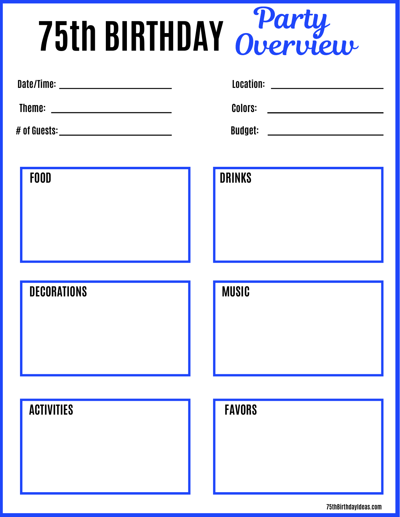# **75th BIRTHDAY** Party Overview

| Date/Time:                                                                                | Location:                                                                                 |
|-------------------------------------------------------------------------------------------|-------------------------------------------------------------------------------------------|
| the control of the control of the control of the control of the control of the control of | the control of the control of the control of the control of the control of the control of |
| Theme:                                                                                    | <b>Colors:</b>                                                                            |
|                                                                                           |                                                                                           |
| # of Guests:                                                                              | <b>Budget:</b>                                                                            |
|                                                                                           |                                                                                           |

| w<br>٧ | ۰, |  |
|--------|----|--|
|        |    |  |

### **DECORATIONS**

| ACTIVITIES |  |
|------------|--|
|------------|--|

| <b>FOOD</b> | <b>DRINKS</b> |
|-------------|---------------|
|             |               |
|             |               |
|             |               |
|             |               |

#### **FAVORS**